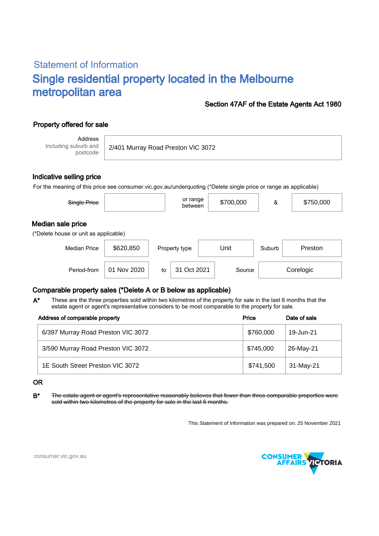# Statement of Information Single residential property located in the Melbourne metropolitan area

## Section 47AF of the Estate Agents Act 1980

# Property offered for sale

Address Including suburb and postcode

2/401 Murray Road Preston VIC 3072

### Indicative selling price

For the meaning of this price see consumer.vic.gov.au/underquoting (\*Delete single price or range as applicable)

| Single Price                                               |           | or range<br>between | \$700,000 | &      | \$750,000 |  |  |  |  |
|------------------------------------------------------------|-----------|---------------------|-----------|--------|-----------|--|--|--|--|
| Median sale price<br>(*Delete house or unit as applicable) |           |                     |           |        |           |  |  |  |  |
| <b>Median Price</b>                                        | \$620,850 | Property type       | Unit      | Suburb | Preston   |  |  |  |  |

Period-from | 01 Nov 2020 | to | 31 Oct 2021 | Source | Corelogic

## Comparable property sales (\*Delete A or B below as applicable)

These are the three properties sold within two kilometres of the property for sale in the last 6 months that the estate agent or agent's representative considers to be most comparable to the property for sale. A\*

| Address of comparable property     | Price     | Date of sale |  |
|------------------------------------|-----------|--------------|--|
| 6/397 Murray Road Preston VIC 3072 | \$760,000 | 19-Jun-21    |  |
| 3/590 Murray Road Preston VIC 3072 | \$745,000 | 26-May-21    |  |
| 1E South Street Preston VIC 3072   | \$741,500 | 31-May-21    |  |

#### OR

B<sup>\*</sup> The estate agent or agent's representative reasonably believes that fewer than three comparable properties were sold within two kilometres of the property for sale in the last 6 months.

This Statement of Information was prepared on: 25 November 2021



consumer.vic.gov.au